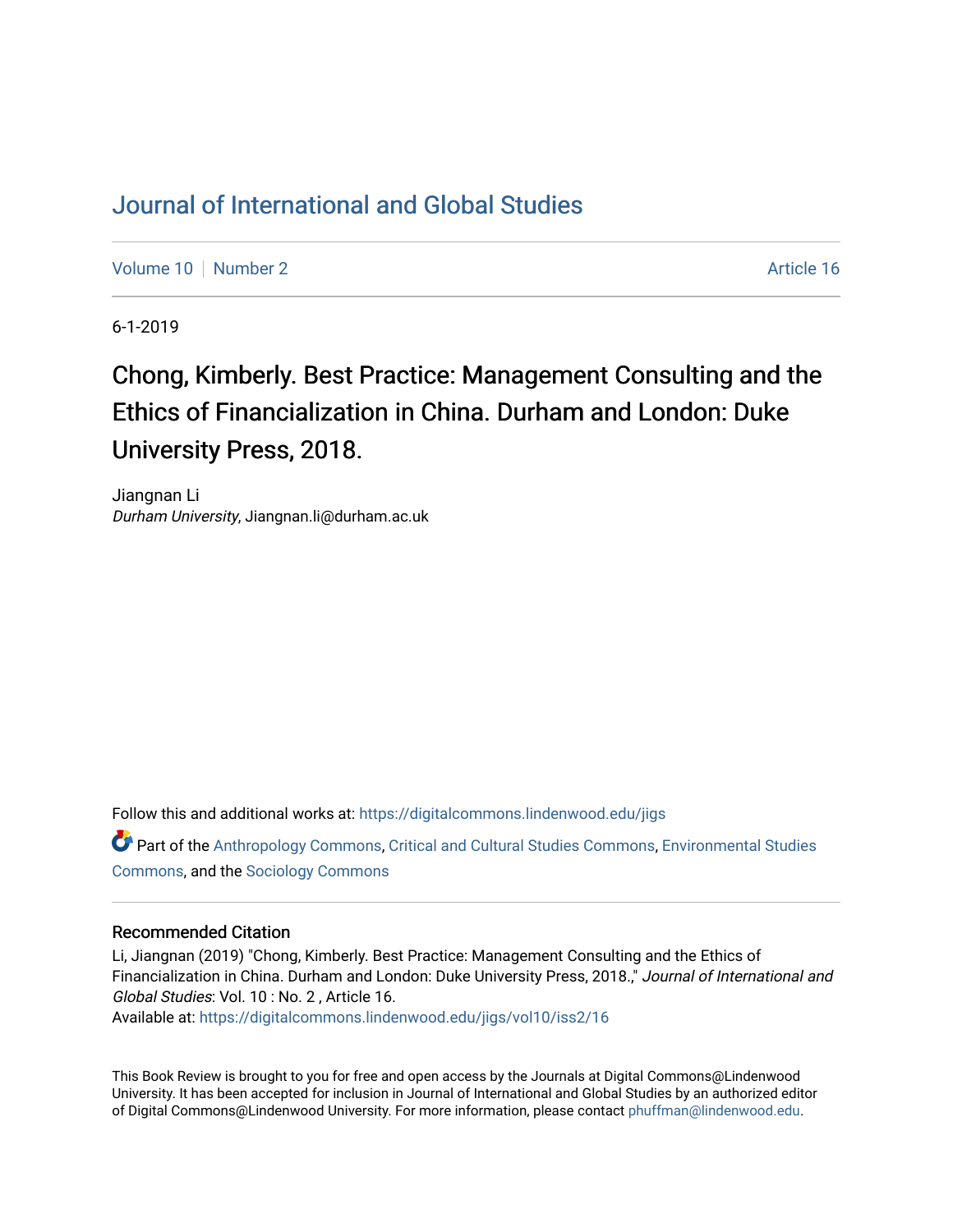## [Journal of International and Global Studies](https://digitalcommons.lindenwood.edu/jigs)

[Volume 10](https://digitalcommons.lindenwood.edu/jigs/vol10) [Number 2](https://digitalcommons.lindenwood.edu/jigs/vol10/iss2) Article 16

6-1-2019

# Chong, Kimberly. Best Practice: Management Consulting and the Ethics of Financialization in China. Durham and London: Duke University Press, 2018.

Jiangnan Li Durham University, Jiangnan.li@durham.ac.uk

Follow this and additional works at: [https://digitalcommons.lindenwood.edu/jigs](https://digitalcommons.lindenwood.edu/jigs?utm_source=digitalcommons.lindenwood.edu%2Fjigs%2Fvol10%2Fiss2%2F16&utm_medium=PDF&utm_campaign=PDFCoverPages) 

Part of the [Anthropology Commons](http://network.bepress.com/hgg/discipline/318?utm_source=digitalcommons.lindenwood.edu%2Fjigs%2Fvol10%2Fiss2%2F16&utm_medium=PDF&utm_campaign=PDFCoverPages), [Critical and Cultural Studies Commons](http://network.bepress.com/hgg/discipline/328?utm_source=digitalcommons.lindenwood.edu%2Fjigs%2Fvol10%2Fiss2%2F16&utm_medium=PDF&utm_campaign=PDFCoverPages), [Environmental Studies](http://network.bepress.com/hgg/discipline/1333?utm_source=digitalcommons.lindenwood.edu%2Fjigs%2Fvol10%2Fiss2%2F16&utm_medium=PDF&utm_campaign=PDFCoverPages)  [Commons](http://network.bepress.com/hgg/discipline/1333?utm_source=digitalcommons.lindenwood.edu%2Fjigs%2Fvol10%2Fiss2%2F16&utm_medium=PDF&utm_campaign=PDFCoverPages), and the [Sociology Commons](http://network.bepress.com/hgg/discipline/416?utm_source=digitalcommons.lindenwood.edu%2Fjigs%2Fvol10%2Fiss2%2F16&utm_medium=PDF&utm_campaign=PDFCoverPages)

#### Recommended Citation

Li, Jiangnan (2019) "Chong, Kimberly. Best Practice: Management Consulting and the Ethics of Financialization in China. Durham and London: Duke University Press, 2018.," Journal of International and Global Studies: Vol. 10 : No. 2 , Article 16.

Available at: [https://digitalcommons.lindenwood.edu/jigs/vol10/iss2/16](https://digitalcommons.lindenwood.edu/jigs/vol10/iss2/16?utm_source=digitalcommons.lindenwood.edu%2Fjigs%2Fvol10%2Fiss2%2F16&utm_medium=PDF&utm_campaign=PDFCoverPages) 

This Book Review is brought to you for free and open access by the Journals at Digital Commons@Lindenwood University. It has been accepted for inclusion in Journal of International and Global Studies by an authorized editor of Digital Commons@Lindenwood University. For more information, please contact [phuffman@lindenwood.edu](mailto:phuffman@lindenwood.edu).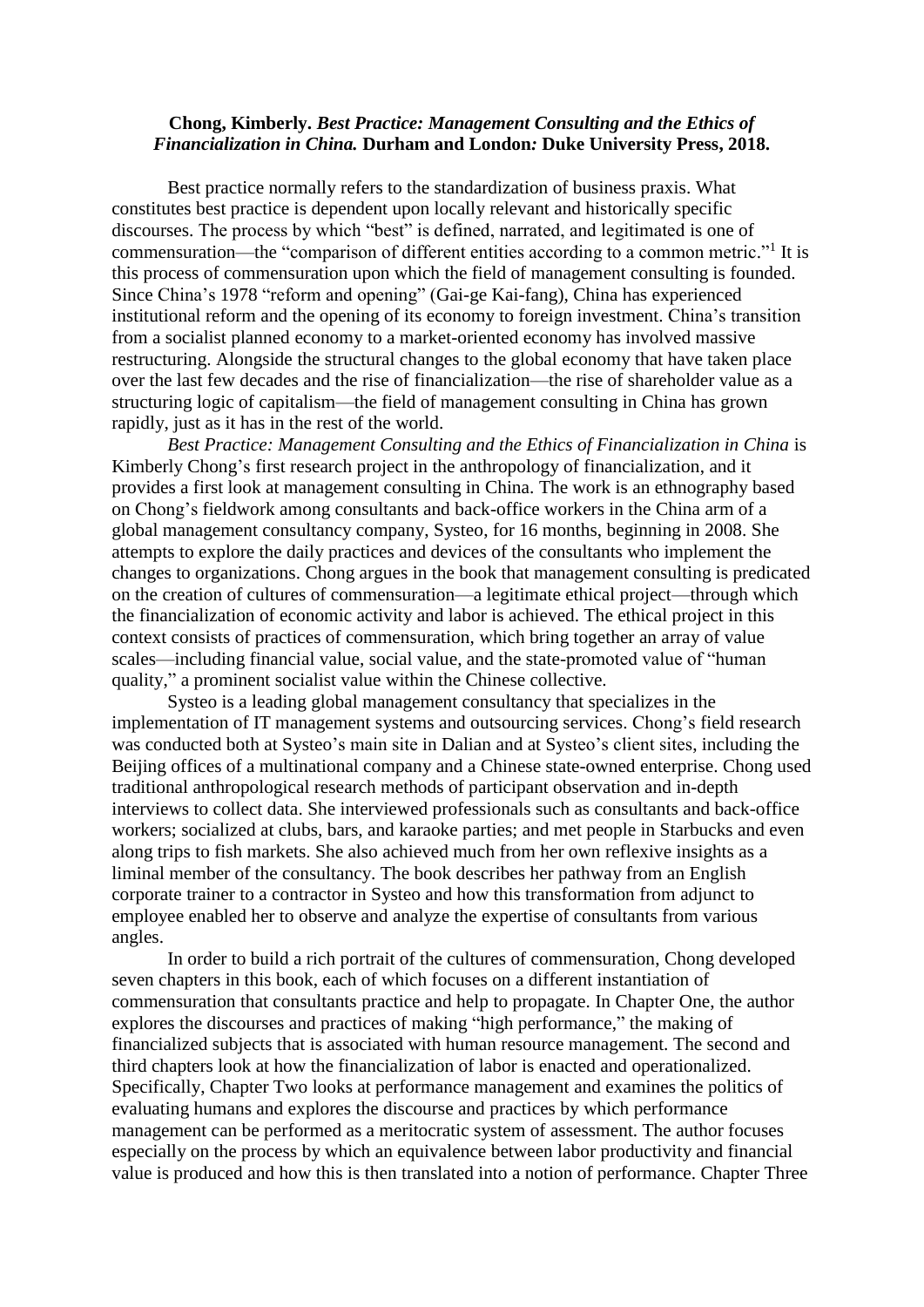### **Chong, Kimberly.** *Best Practice: Management Consulting and the Ethics of Financialization in China.* **Durham and London***:* **Duke University Press, 2018.**

Best practice normally refers to the standardization of business praxis. What constitutes best practice is dependent upon locally relevant and historically specific discourses. The process by which "best" is defined, narrated, and legitimated is one of commensuration—the "comparison of different entities according to a common metric."<sup>1</sup> It is this process of commensuration upon which the field of management consulting is founded. Since China's 1978 "reform and opening" (Gai-ge Kai-fang), China has experienced institutional reform and the opening of its economy to foreign investment. China's transition from a socialist planned economy to a market-oriented economy has involved massive restructuring. Alongside the structural changes to the global economy that have taken place over the last few decades and the rise of financialization—the rise of shareholder value as a structuring logic of capitalism—the field of management consulting in China has grown rapidly, just as it has in the rest of the world.

*Best Practice: Management Consulting and the Ethics of Financialization in China* is Kimberly Chong's first research project in the anthropology of financialization, and it provides a first look at management consulting in China. The work is an ethnography based on Chong's fieldwork among consultants and back-office workers in the China arm of a global management consultancy company, Systeo, for 16 months, beginning in 2008. She attempts to explore the daily practices and devices of the consultants who implement the changes to organizations. Chong argues in the book that management consulting is predicated on the creation of cultures of commensuration—a legitimate ethical project—through which the financialization of economic activity and labor is achieved. The ethical project in this context consists of practices of commensuration, which bring together an array of value scales—including financial value, social value, and the state-promoted value of "human quality," a prominent socialist value within the Chinese collective.

Systeo is a leading global management consultancy that specializes in the implementation of IT management systems and outsourcing services. Chong's field research was conducted both at Systeo's main site in Dalian and at Systeo's client sites, including the Beijing offices of a multinational company and a Chinese state-owned enterprise. Chong used traditional anthropological research methods of participant observation and in-depth interviews to collect data. She interviewed professionals such as consultants and back-office workers; socialized at clubs, bars, and karaoke parties; and met people in Starbucks and even along trips to fish markets. She also achieved much from her own reflexive insights as a liminal member of the consultancy. The book describes her pathway from an English corporate trainer to a contractor in Systeo and how this transformation from adjunct to employee enabled her to observe and analyze the expertise of consultants from various angles.

In order to build a rich portrait of the cultures of commensuration, Chong developed seven chapters in this book, each of which focuses on a different instantiation of commensuration that consultants practice and help to propagate. In Chapter One, the author explores the discourses and practices of making "high performance," the making of financialized subjects that is associated with human resource management. The second and third chapters look at how the financialization of labor is enacted and operationalized. Specifically, Chapter Two looks at performance management and examines the politics of evaluating humans and explores the discourse and practices by which performance management can be performed as a meritocratic system of assessment. The author focuses especially on the process by which an equivalence between labor productivity and financial value is produced and how this is then translated into a notion of performance. Chapter Three